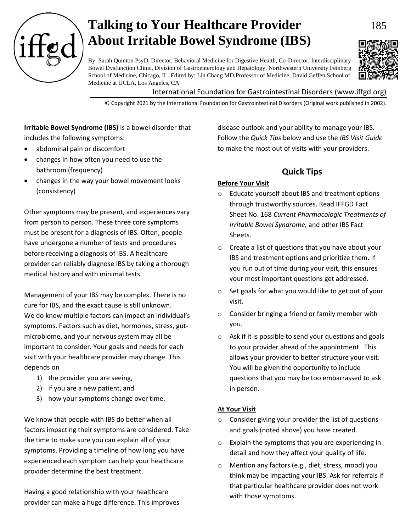

# **Talking to Your Healthcare Provider** 185 **About Irritable Bowel Syndrome (IBS)**



By: Sarah Quinton PsyD, Director, Behavioral Medicine for Digestive Health, Co-Director, Interdisciplinary Bowel Dysfunction Clinic, Division of Gastroenterology and Hepatology, Northwestern University Feinberg School of Medicine, Chicago, IL. Edited by: Lin Chang MD,Professor of Medicine, David Geffen School of Medicine at UCLA, Los Angeles, CA

International Foundation for Gastrointestinal Disorders (www.iffgd.org)

© Copyright 2021 by the International Foundation for Gastrointestinal Disorders (Original work published in 2002).

**Irritable Bowel Syndrome (IBS)** is a bowel disorder that includes the following symptoms:

- abdominal pain or discomfort
- changes in how often you need to use the bathroom (frequency)
- changes in the way your bowel movement looks (consistency)

Other symptoms may be present, and experiences vary from person to person. These three core symptoms must be present for a diagnosis of IBS. Often, people have undergone a number of tests and procedures before receiving a diagnosis of IBS. A healthcare provider can reliably diagnose IBS by taking a thorough medical history and with minimal tests.

Management of your IBS may be complex. There is no cure for IBS, and the exact cause is still unknown. We do know multiple factors can impact an individual's symptoms. Factors such as diet, hormones, stress, gutmicrobiome, and your nervous system may all be important to consider. Your goals and needs for each visit with your healthcare provider may change. This depends on

- 1) the provider you are seeing,
- 2) if you are a new patient, and
- 3) how your symptoms change over time.

We know that people with IBS do better when all factors impacting their symptoms are considered. Take the time to make sure you can explain all of your symptoms. Providing a timeline of how long you have experienced each symptom can help your healthcare provider determine the best treatment.

Having a good relationship with your healthcare provider can make a huge difference. This improves disease outlook and your ability to manage your IBS. Follow the *Quick Tips* below and use the *IBS Visit Guide* to make the most out of visits with your providers.

# **Quick Tips**

# **Before Your Visit**

- o Educate yourself about IBS and treatment options through trustworthy sources. Read IFFGD Fact Sheet No. 168 *Current Pharmacologic Treatments of Irritable Bowel Syndrome,* and other IBS Fact Sheets.
- o Create a list of questions that you have about your IBS and treatment options and prioritize them. If you run out of time during your visit, this ensures your most important questions get addressed.
- o Set goals for what you would like to get out of your visit.
- o Consider bringing a friend or family member with you.
- o Ask if it is possible to send your questions and goals to your provider ahead of the appointment. This allows your provider to better structure your visit. You will be given the opportunity to include questions that you may be too embarrassed to ask in person.

# **At Your Visit**

- $\circ$  Consider giving your provider the list of questions and goals (noted above) you have created.
- o Explain the symptoms that you are experiencing in detail and how they affect your quality of life.
- o Mention any factors (e.g., diet, stress, mood) you think may be impacting your IBS. Ask for referrals if that particular healthcare provider does not work with those symptoms.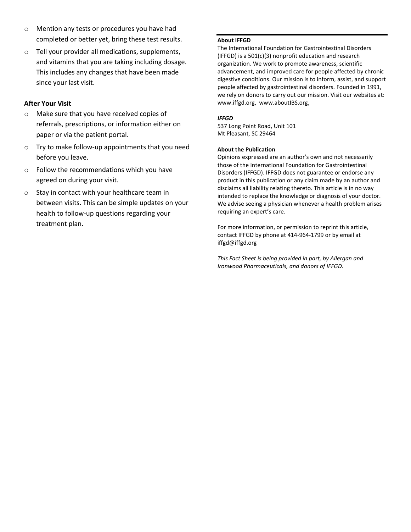- o Mention any tests or procedures you have had completed or better yet, bring these test results.
- o Tell your provider all medications, supplements, and vitamins that you are taking including dosage. This includes any changes that have been made since your last visit.

### **After Your Visit**

- o Make sure that you have received copies of referrals, prescriptions, or information either on paper or via the patient portal.
- o Try to make follow-up appointments that you need before you leave.
- o Follow the recommendations which you have agreed on during your visit.
- o Stay in contact with your healthcare team in between visits. This can be simple updates on your health to follow-up questions regarding your treatment plan.

#### **About IFFGD**

The International Foundation for Gastrointestinal Disorders (IFFGD) is a 501(c)(3) nonprofit education and research organization. We work to promote awareness, scientific advancement, and improved care for people affected by chronic digestive conditions. Our mission is to inform, assist, and support people affected by gastrointestinal disorders. Founded in 1991, we rely on donors to carry out our mission. Visit our websites at: www.iffgd.org, www.aboutIBS.org,

#### *IFFGD*

537 Long Point Road, Unit 101 Mt Pleasant, SC 29464

### **About the Publication**

Opinions expressed are an author's own and not necessarily those of the International Foundation for Gastrointestinal Disorders (IFFGD). IFFGD does not guarantee or endorse any product in this publication or any claim made by an author and disclaims all liability relating thereto. This article is in no way intended to replace the knowledge or diagnosis of your doctor. We advise seeing a physician whenever a health problem arises requiring an expert's care.

For more information, or permission to reprint this article, contact IFFGD by phone at 414-964-1799 or by email at iffgd@iffgd.org

*This Fact Sheet is being provided in part, by Allergan and Ironwood Pharmaceuticals, and donors of IFFGD.*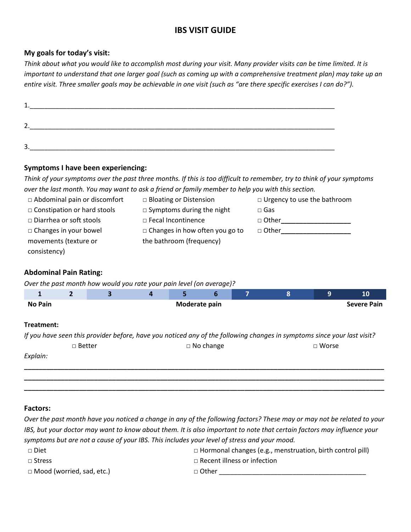# **IBS VISIT GUIDE**

# **My goals for today's visit:**

*Think about what you would like to accomplish most during your visit. Many provider visits can be time limited. It is important to understand that one larger goal (such as coming up with a comprehensive treatment plan) may take up an entire visit. Three smaller goals may be achievable in one visit (such as "are there specific exercises I can do?").*

| <b>.</b> |  |  |  |
|----------|--|--|--|
|          |  |  |  |
|          |  |  |  |
| <u>.</u> |  |  |  |
|          |  |  |  |
|          |  |  |  |

3.\_\_\_\_\_\_\_\_\_\_\_\_\_\_\_\_\_\_\_\_\_\_\_\_\_\_\_\_\_\_\_\_\_\_\_\_\_\_\_\_\_\_\_\_\_\_\_\_\_\_\_\_\_\_\_\_\_\_\_\_\_\_\_\_\_\_\_\_\_\_\_\_\_\_\_\_\_\_\_\_\_\_\_

### **Symptoms I have been experiencing:**

*Think of your symptoms over the past three months. If this is too difficult to remember, try to think of your symptoms over the last month. You may want to ask a friend or family member to help you with this section.* 

| $\Box$ Abdominal pain or discomfort | $\Box$ Bloating or Distension         | $\Box$ Urgency to use the bathroom |
|-------------------------------------|---------------------------------------|------------------------------------|
| $\Box$ Constipation or hard stools  | $\Box$ Symptoms during the night      | $\square$ Gas                      |
| $\Box$ Diarrhea or soft stools      | $\Box$ Fecal Incontinence             | $\Box$ Other                       |
| $\Box$ Changes in your bowel        | $\Box$ Changes in how often you go to | □ Other                            |
| movements (texture or               | the bathroom (frequency)              |                                    |
| consistency)                        |                                       |                                    |

# **Abdominal Pain Rating:**

*Over the past month how would you rate your pain level (on average)?*

| 1                                                                                                                       | $\overline{2}$ | 3 | $\overline{a}$ | 5             | 6                | 7 | 8 | 9            | <b>10</b>          |
|-------------------------------------------------------------------------------------------------------------------------|----------------|---|----------------|---------------|------------------|---|---|--------------|--------------------|
| <b>No Pain</b>                                                                                                          |                |   |                | Moderate pain |                  |   |   |              | <b>Severe Pain</b> |
|                                                                                                                         |                |   |                |               |                  |   |   |              |                    |
| Treatment:                                                                                                              |                |   |                |               |                  |   |   |              |                    |
| If you have seen this provider before, have you noticed any of the following changes in symptoms since your last visit? |                |   |                |               |                  |   |   |              |                    |
|                                                                                                                         | $\Box$ Better  |   |                |               | $\Box$ No change |   |   | $\Box$ Worse |                    |
| Explain:                                                                                                                |                |   |                |               |                  |   |   |              |                    |
|                                                                                                                         |                |   |                |               |                  |   |   |              |                    |
|                                                                                                                         |                |   |                |               |                  |   |   |              |                    |
|                                                                                                                         |                |   |                |               |                  |   |   |              |                    |

### **Factors:**

*Over the past month have you noticed a change in any of the following factors? These may or may not be related to your IBS, but your doctor may want to know about them. It is also important to note that certain factors may influence your symptoms but are not a cause of your IBS. This includes your level of stress and your mood.*

| $\Box$ Diet                      | $\Box$ Hormonal changes (e.g., menstruation, birth control pill) |
|----------------------------------|------------------------------------------------------------------|
| □ Stress                         | $\Box$ Recent illness or infection                               |
| $\Box$ Mood (worried, sad, etc.) | □ Other                                                          |